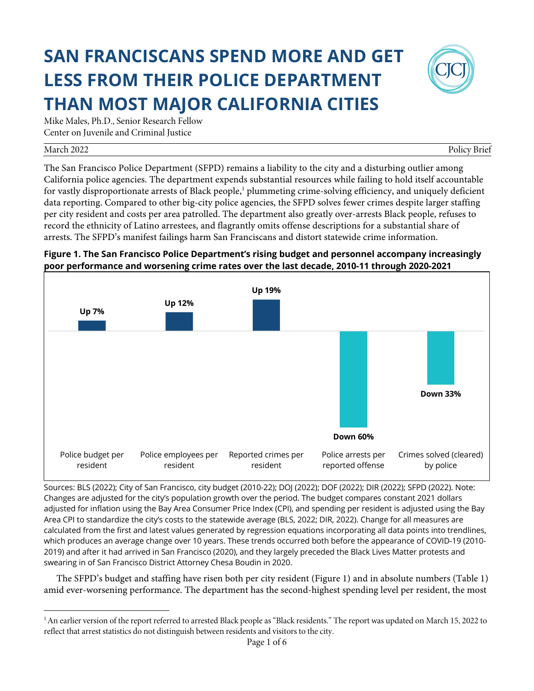# **SAN FRANCISCANS SPEND MORE AND GET LESS FROM THEIR POLICE DEPARTMENT THAN MOST MAJOR CALIFORNIA CITIES**



Mike Males, Ph.D., Senior Research Fellow Center on Juvenile and Criminal Justice

#### March 2022 Policy Brief

The San Francisco Police Department (SFPD) remains a liability to the city and a disturbing outlier among California police agencies. The department expends substantial resources while failing to hold itself accountable for vastly disproportionate arrests of Black people,<sup>1</sup> plummeting crime-solving efficiency, and uniquely deficient data reporting. Compared to other big-city police agencies, the SFPD solves fewer crimes despite larger staffing per city resident and costs per area patrolled. The department also greatly over-arrests Black people, refuses to record the ethnicity of Latino arrestees, and flagrantly omits offense descriptions for a substantial share of arrests. The SFPD's manifest failings harm San Franciscans and distort statewide crime information.





Sources: BLS (2022); City of San Francisco, city budget (2010-22); DOJ (2022); DOF (2022); DIR (2022); SFPD (2022). Note: Changes are adjusted for the city's population growth over the period. The budget compares constant 2021 dollars adjusted for inflation using the Bay Area Consumer Price Index (CPI), and spending per resident is adjusted using the Bay Area CPI to standardize the city's costs to the statewide average (BLS, 2022; DIR, 2022). Change for all measures are calculated from the first and latest values generated by regression equations incorporating all data points into trendlines, which produces an average change over 10 years. These trends occurred both before the appearance of COVID-19 (2010- 2019) and after it had arrived in San Francisco (2020), and they largely preceded the Black Lives Matter protests and swearing in of San Francisco District Attorney Chesa Boudin in 2020.

The SFPD's budget and staffing have risen both per city resident (Figure 1) and in absolute numbers (Table 1) amid ever-worsening performance. The department has the second-highest spending level per resident, the most

<sup>&</sup>lt;sup>1</sup>An earlier version of the report referred to arrested Black people as "Black residents." The report was updated on March 15, 2022 to reflect that arrest statistics do not distinguish between residents and visitors to the city.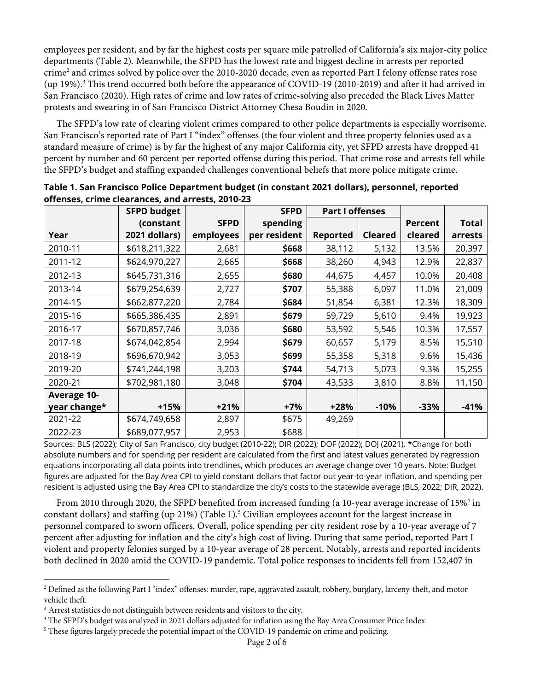employees per resident, and by far the highest costs per square mile patrolled of California's six major-city police departments (Table 2). Meanwhile, the SFPD has the lowest rate and biggest decline in arrests per reported crime<sup>2</sup> and crimes solved by police over the 2010-2020 decade, even as reported Part I felony offense rates rose (up 19%). <sup>3</sup> This trend occurred both before the appearance of COVID-19 (2010-2019) and after it had arrived in San Francisco (2020). High rates of crime and low rates of crime-solving also preceded the Black Lives Matter protests and swearing in of San Francisco District Attorney Chesa Boudin in 2020.

The SFPD's low rate of clearing violent crimes compared to other police departments is especially worrisome. San Francisco's reported rate of Part I "index" offenses (the four violent and three property felonies used as a standard measure of crime) is by far the highest of any major California city, yet SFPD arrests have dropped 41 percent by number and 60 percent per reported offense during this period. That crime rose and arrests fell while the SFPD's budget and staffing expanded challenges conventional beliefs that more police mitigate crime.

|                    | <b>SFPD budget</b> |             | <b>SFPD</b>  | <b>Part I offenses</b> |                |                |              |
|--------------------|--------------------|-------------|--------------|------------------------|----------------|----------------|--------------|
|                    | (constant          | <b>SFPD</b> | spending     |                        |                | <b>Percent</b> | <b>Total</b> |
| Year               | 2021 dollars)      | employees   | per resident | Reported               | <b>Cleared</b> | cleared        | arrests      |
| 2010-11            | \$618,211,322      | 2,681       | \$668        | 38,112                 | 5,132          | 13.5%          | 20,397       |
| 2011-12            | \$624,970,227      | 2,665       | \$668        | 38,260                 | 4,943          | 12.9%          | 22,837       |
| 2012-13            | \$645,731,316      | 2,655       | \$680        | 44,675                 | 4,457          | 10.0%          | 20,408       |
| 2013-14            | \$679,254,639      | 2,727       | \$707        | 55,388                 | 6,097          | 11.0%          | 21,009       |
| 2014-15            | \$662,877,220      | 2,784       | \$684        | 51,854                 | 6,381          | 12.3%          | 18,309       |
| 2015-16            | \$665,386,435      | 2,891       | \$679        | 59,729                 | 5,610          | 9.4%           | 19,923       |
| 2016-17            | \$670,857,746      | 3,036       | \$680        | 53,592                 | 5,546          | 10.3%          | 17,557       |
| 2017-18            | \$674,042,854      | 2,994       | \$679        | 60,657                 | 5,179          | 8.5%           | 15,510       |
| 2018-19            | \$696,670,942      | 3,053       | \$699        | 55,358                 | 5,318          | 9.6%           | 15,436       |
| 2019-20            | \$741,244,198      | 3,203       | \$744        | 54,713                 | 5,073          | 9.3%           | 15,255       |
| 2020-21            | \$702,981,180      | 3,048       | \$704        | 43,533                 | 3,810          | 8.8%           | 11,150       |
| <b>Average 10-</b> |                    |             |              |                        |                |                |              |
| year change*       | $+15%$             | $+21%$      | $+7%$        | $+28%$                 | $-10%$         | $-33%$         | $-41%$       |
| 2021-22            | \$674,749,658      | 2,897       | \$675        | 49,269                 |                |                |              |
| 2022-23            | \$689,077,957      | 2,953       | \$688        |                        |                |                |              |

**Table 1. San Francisco Police Department budget (in constant 2021 dollars), personnel, reported offenses, crime clearances, and arrests, 2010-23**

Sources: BLS (2022); City of San Francisco, city budget (2010-22); DIR (2022); DOF (2022); DOJ (2021). \*Change for both absolute numbers and for spending per resident are calculated from the first and latest values generated by regression equations incorporating all data points into trendlines, which produces an average change over 10 years. Note: Budget figures are adjusted for the Bay Area CPI to yield constant dollars that factor out year-to-year inflation, and spending per resident is adjusted using the Bay Area CPI to standardize the city's costs to the statewide average (BLS, 2022; DIR, 2022).

From 2010 through 2020, the SFPD benefited from increased funding (a 10-year average increase of 15%<sup>4</sup> in constant dollars) and staffing (up 21%) (Table 1).<sup>5</sup> Civilian employees account for the largest increase in personnel compared to sworn officers. Overall, police spending per city resident rose by a 10-year average of 7 percent after adjusting for inflation and the city's high cost of living. During that same period, reported Part I violent and property felonies surged by a 10-year average of 28 percent. Notably, arrests and reported incidents both declined in 2020 amid the COVID-19 pandemic. Total police responses to incidents fell from 152,407 in

<sup>&</sup>lt;sup>2</sup> Defined as the following Part I "index" offenses: murder, rape, aggravated assault, robbery, burglary, larceny-theft, and motor vehicle theft.

<sup>&</sup>lt;sup>3</sup> Arrest statistics do not distinguish between residents and visitors to the city.<br><sup>4</sup> The SFPD's budget was analyzed in 2021 dollars adjusted for inflation using the Bay Area Consumer Price Index.

<sup>&</sup>lt;sup>5</sup> These figures largely precede the potential impact of the COVID-19 pandemic on crime and policing.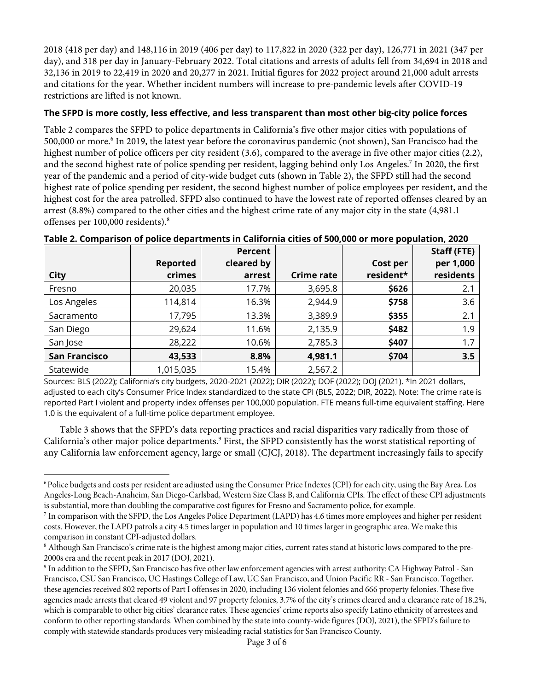2018 (418 per day) and 148,116 in 2019 (406 per day) to 117,822 in 2020 (322 per day), 126,771 in 2021 (347 per day), and 318 per day in January-February 2022. Total citations and arrests of adults fell from 34,694 in 2018 and 32,136 in 2019 to 22,419 in 2020 and 20,277 in 2021. Initial figures for 2022 project around 21,000 adult arrests and citations for the year. Whether incident numbers will increase to pre-pandemic levels after COVID-19 restrictions are lifted is not known.

## **The SFPD is more costly, less effective, and less transparent than most other big-city police forces**

Table 2 compares the SFPD to police departments in California's five other major cities with populations of 500,000 or more.6 In 2019, the latest year before the coronavirus pandemic (not shown), San Francisco had the highest number of police officers per city resident (3.6), compared to the average in five other major cities (2.2), and the second highest rate of police spending per resident, lagging behind only Los Angeles. <sup>7</sup> In 2020, the first year of the pandemic and a period of city-wide budget cuts (shown in Table 2), the SFPD still had the second highest rate of police spending per resident, the second highest number of police employees per resident, and the highest cost for the area patrolled. SFPD also continued to have the lowest rate of reported offenses cleared by an arrest (8.8%) compared to the other cities and the highest crime rate of any major city in the state (4,981.1 offenses per 100,000 residents).8

|                      |                 | Percent    |                   |           | <b>Staff (FTE)</b> |
|----------------------|-----------------|------------|-------------------|-----------|--------------------|
|                      | <b>Reported</b> | cleared by |                   | Cost per  | per 1,000          |
| <b>City</b>          | crimes          | arrest     | <b>Crime rate</b> | resident* | residents          |
| Fresno               | 20,035          | 17.7%      | 3,695.8           | \$626     | 2.1                |
| Los Angeles          | 114,814         | 16.3%      | 2,944.9           | \$758     | 3.6                |
| Sacramento           | 17,795          | 13.3%      | 3,389.9           | \$355     | 2.1                |
| San Diego            | 29,624          | 11.6%      | 2,135.9           | \$482     | 1.9                |
| San Jose             | 28,222          | 10.6%      | 2,785.3           | \$407     | 1.7                |
| <b>San Francisco</b> | 43,533          | 8.8%       | 4,981.1           | \$704     | 3.5                |
| Statewide            | 1,015,035       | 15.4%      | 2,567.2           |           |                    |

**Table 2. Comparison of police departments in California cities of 500,000 or more population, 2020**

Sources: BLS (2022); California's city budgets, 2020-2021 (2022); DIR (2022); DOF (2022); DOJ (2021). \*In 2021 dollars, adjusted to each city's Consumer Price Index standardized to the state CPI (BLS, 2022; DIR, 2022). Note: The crime rate is reported Part I violent and property index offenses per 100,000 population. FTE means full-time equivalent staffing. Here 1.0 is the equivalent of a full-time police department employee.

Table 3 shows that the SFPD's data reporting practices and racial disparities vary radically from those of California's other major police departments. <sup>9</sup> First, the SFPD consistently has the worst statistical reporting of any California law enforcement agency, large or small (CJCJ, 2018). The department increasingly fails to specify

<sup>&</sup>lt;sup>6</sup> Police budgets and costs per resident are adjusted using the Consumer Price Indexes (CPI) for each city, using the Bay Area, Los Angeles-Long Beach-Anaheim, San Diego-Carlsbad, Western Size Class B, and California CPIs. The effect of these CPI adjustments is substantial, more than doubling the comparative cost figures for Fresno and Sacramento police, for example.

<sup>7</sup> In comparison with the SFPD, the Los Angeles Police Department (LAPD) has 4.6 times more employees and higher per resident costs. However, the LAPD patrols a city 4.5 times larger in population and 10 times larger in geographic area. We make this comparison in constant CPI-adjusted dollars.

<sup>8</sup> Although San Francisco's crime rate is the highest among major cities, current rates stand at historic lows compared to the pre-2000s era and the recent peak in 2017 (DOJ, 2021).

<sup>9</sup> In addition to the SFPD, San Francisco has five other law enforcement agencies with arrest authority: CA Highway Patrol - San Francisco, CSU San Francisco, UC Hastings College of Law, UC San Francisco, and Union Pacific RR - San Francisco. Together, these agencies received 802 reports of Part I offenses in 2020, including 136 violent felonies and 666 property felonies. These five agencies made arrests that cleared 49 violent and 97 property felonies, 3.7% of the city's crimes cleared and a clearance rate of 18.2%, which is comparable to other big cities' clearance rates. These agencies' crime reports also specify Latino ethnicity of arrestees and conform to other reporting standards. When combined by the state into county-wide figures (DOJ, 2021), the SFPD's failure to comply with statewide standards produces very misleading racial statistics for San Francisco County.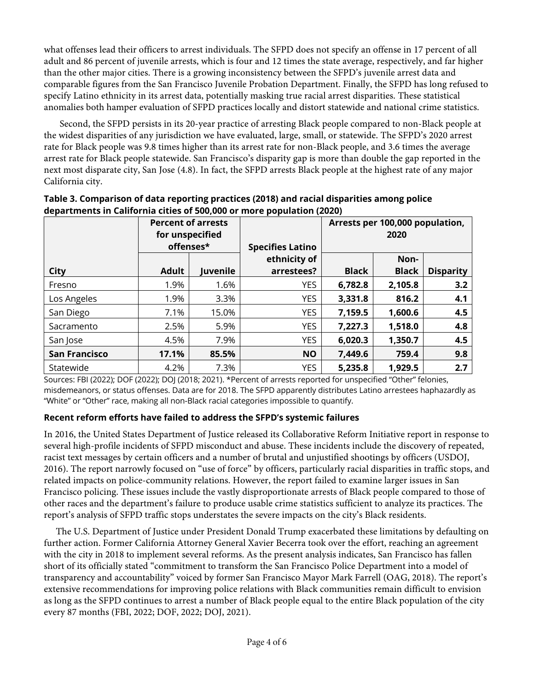what offenses lead their officers to arrest individuals. The SFPD does not specify an offense in 17 percent of all adult and 86 percent of juvenile arrests, which is four and 12 times the state average, respectively, and far higher than the other major cities. There is a growing inconsistency between the SFPD's juvenile arrest data and comparable figures from the San Francisco Juvenile Probation Department. Finally, the SFPD has long refused to specify Latino ethnicity in its arrest data, potentially masking true racial arrest disparities. These statistical anomalies both hamper evaluation of SFPD practices locally and distort statewide and national crime statistics.

Second, the SFPD persists in its 20-year practice of arresting Black people compared to non-Black people at the widest disparities of any jurisdiction we have evaluated, large, small, or statewide. The SFPD's 2020 arrest rate for Black people was 9.8 times higher than its arrest rate for non-Black people, and 3.6 times the average arrest rate for Black people statewide. San Francisco's disparity gap is more than double the gap reported in the next most disparate city, San Jose (4.8). In fact, the SFPD arrests Black people at the highest rate of any major California city.

|                      | <b>Percent of arrests</b><br>for unspecified<br>offenses* |          | <b>Specifies Latino</b>    | Arrests per 100,000 population,<br>2020 |                      |                  |
|----------------------|-----------------------------------------------------------|----------|----------------------------|-----------------------------------------|----------------------|------------------|
| City                 | <b>Adult</b>                                              | Juvenile | ethnicity of<br>arrestees? | <b>Black</b>                            | Non-<br><b>Black</b> | <b>Disparity</b> |
| Fresno               | 1.9%                                                      | 1.6%     | <b>YES</b>                 | 6,782.8                                 | 2,105.8              | 3.2              |
| Los Angeles          | 1.9%                                                      | 3.3%     | <b>YES</b>                 | 3,331.8                                 | 816.2                | 4.1              |
| San Diego            | 7.1%                                                      | 15.0%    | <b>YES</b>                 | 7,159.5                                 | 1,600.6              | 4.5              |
| Sacramento           | 2.5%                                                      | 5.9%     | <b>YES</b>                 | 7,227.3                                 | 1,518.0              | 4.8              |
| San Jose             | 4.5%                                                      | 7.9%     | <b>YES</b>                 | 6,020.3                                 | 1,350.7              | 4.5              |
| <b>San Francisco</b> | 17.1%                                                     | 85.5%    | <b>NO</b>                  | 7,449.6                                 | 759.4                | 9.8              |
| Statewide            | 4.2%                                                      | 7.3%     | <b>YES</b>                 | 5,235.8                                 | 1,929.5              | 2.7              |

### **Table 3. Comparison of data reporting practices (2018) and racial disparities among police departments in California cities of 500,000 or more population (2020)**

Sources: FBI (2022); DOF (2022); DOJ (2018; 2021). \*Percent of arrests reported for unspecified "Other" felonies, misdemeanors, or status offenses. Data are for 2018. The SFPD apparently distributes Latino arrestees haphazardly as "White" or "Other" race, making all non-Black racial categories impossible to quantify.

## **Recent reform efforts have failed to address the SFPD's systemic failures**

In 2016, the United States Department of Justice released its Collaborative Reform Initiative report in response to several high-profile incidents of SFPD misconduct and abuse. These incidents include the discovery of repeated, racist text messages by certain officers and a number of brutal and unjustified shootings by officers (USDOJ, 2016). The report narrowly focused on "use of force" by officers, particularly racial disparities in traffic stops, and related impacts on police-community relations. However, the report failed to examine larger issues in San Francisco policing. These issues include the vastly disproportionate arrests of Black people compared to those of other races and the department's failure to produce usable crime statistics sufficient to analyze its practices. The report's analysis of SFPD traffic stops understates the severe impacts on the city's Black residents.

The U.S. Department of Justice under President Donald Trump exacerbated these limitations by defaulting on further action. Former California Attorney General Xavier Becerra took over the effort, reaching an agreement with the city in 2018 to implement several reforms. As the present analysis indicates, San Francisco has fallen short of its officially stated "commitment to transform the San Francisco Police Department into a model of transparency and accountability" voiced by former San Francisco Mayor Mark Farrell (OAG, 2018). The report's extensive recommendations for improving police relations with Black communities remain difficult to envision as long as the SFPD continues to arrest a number of Black people equal to the entire Black population of the city every 87 months (FBI, 2022; DOF, 2022; DOJ, 2021).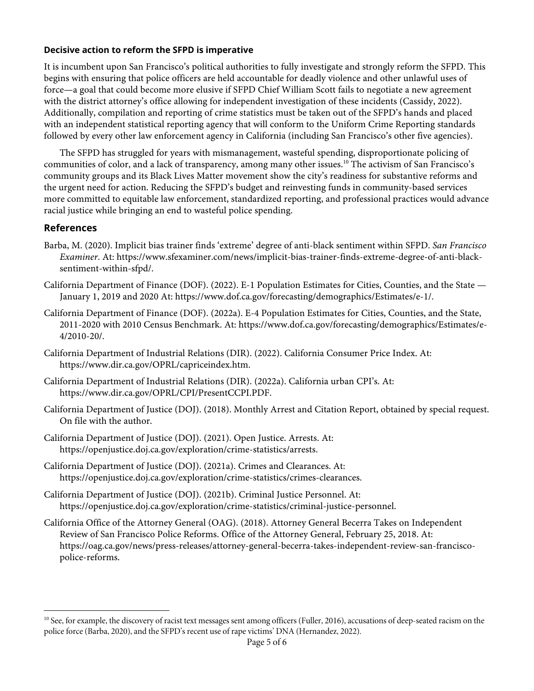#### **Decisive action to reform the SFPD is imperative**

It is incumbent upon San Francisco's political authorities to fully investigate and strongly reform the SFPD. This begins with ensuring that police officers are held accountable for deadly violence and other unlawful uses of force—a goal that could become more elusive if SFPD Chief William Scott fails to negotiate a new agreement with the district attorney's office allowing for independent investigation of these incidents (Cassidy, 2022). Additionally, compilation and reporting of crime statistics must be taken out of the SFPD's hands and placed with an independent statistical reporting agency that will conform to the Uniform Crime Reporting standards followed by every other law enforcement agency in California (including San Francisco's other five agencies).

The SFPD has struggled for years with mismanagement, wasteful spending, disproportionate policing of communities of color, and a lack of transparency, among many other issues.10 The activism of San Francisco's community groups and its Black Lives Matter movement show the city's readiness for substantive reforms and the urgent need for action. Reducing the SFPD's budget and reinvesting funds in community-based services more committed to equitable law enforcement, standardized reporting, and professional practices would advance racial justice while bringing an end to wasteful police spending.

#### **References**

- Barba, M. (2020). Implicit bias trainer finds 'extreme' degree of anti-black sentiment within SFPD. *San Francisco Examiner*. At: https://www.sfexaminer.com/news/implicit-bias-trainer-finds-extreme-degree-of-anti-blacksentiment-within-sfpd/.
- California Department of Finance (DOF). (2022). E-1 Population Estimates for Cities, Counties, and the State January 1, 2019 and 2020 At: https://www.dof.ca.gov/forecasting/demographics/Estimates/e-1/.
- California Department of Finance (DOF). (2022a). E-4 Population Estimates for Cities, Counties, and the State, 2011-2020 with 2010 Census Benchmark. At: https://www.dof.ca.gov/forecasting/demographics/Estimates/e-4/2010-20/.
- California Department of Industrial Relations (DIR). (2022). California Consumer Price Index. At: https://www.dir.ca.gov/OPRL/capriceindex.htm.
- California Department of Industrial Relations (DIR). (2022a). California urban CPI's. At: https://www.dir.ca.gov/OPRL/CPI/PresentCCPI.PDF.
- California Department of Justice (DOJ). (2018). Monthly Arrest and Citation Report, obtained by special request. On file with the author.
- California Department of Justice (DOJ). (2021). Open Justice. Arrests. At: https://openjustice.doj.ca.gov/exploration/crime-statistics/arrests.
- California Department of Justice (DOJ). (2021a). Crimes and Clearances. At: https://openjustice.doj.ca.gov/exploration/crime-statistics/crimes-clearances.
- California Department of Justice (DOJ). (2021b). Criminal Justice Personnel. At: https://openjustice.doj.ca.gov/exploration/crime-statistics/criminal-justice-personnel.
- California Office of the Attorney General (OAG). (2018). Attorney General Becerra Takes on Independent Review of San Francisco Police Reforms. Office of the Attorney General, February 25, 2018. At: https://oag.ca.gov/news/press-releases/attorney-general-becerra-takes-independent-review-san-franciscopolice-reforms.

<sup>&</sup>lt;sup>10</sup> See, for example, the discovery of racist text messages sent among officers (Fuller, 2016), accusations of deep-seated racism on the police force (Barba, 2020), and the SFPD's recent use of rape victims' DNA (Hernandez, 2022).